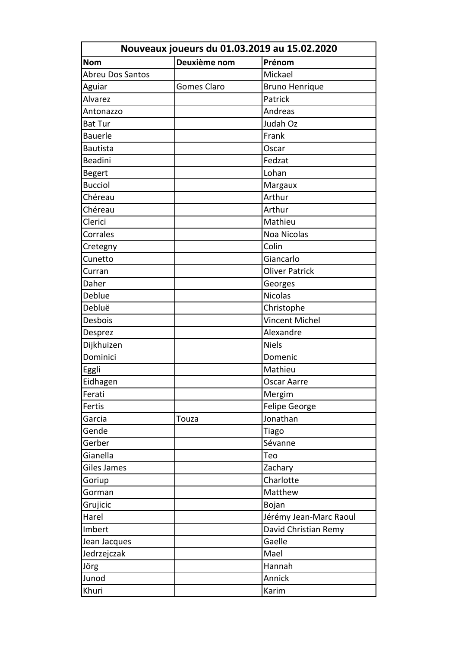| Nouveaux joueurs du 01.03.2019 au 15.02.2020 |                    |                        |  |
|----------------------------------------------|--------------------|------------------------|--|
| <b>Nom</b>                                   | Deuxième nom       | Prénom                 |  |
| <b>Abreu Dos Santos</b>                      |                    | Mickael                |  |
| Aguiar                                       | <b>Gomes Claro</b> | <b>Bruno Henrique</b>  |  |
| Alvarez                                      |                    | Patrick                |  |
| Antonazzo                                    |                    | Andreas                |  |
| <b>Bat Tur</b>                               |                    | Judah Oz               |  |
| <b>Bauerle</b>                               |                    | Frank                  |  |
| <b>Bautista</b>                              |                    | Oscar                  |  |
| <b>Beadini</b>                               |                    | Fedzat                 |  |
| <b>Begert</b>                                |                    | Lohan                  |  |
| <b>Bucciol</b>                               |                    | Margaux                |  |
| Chéreau                                      |                    | Arthur                 |  |
| Chéreau                                      |                    | Arthur                 |  |
| Clerici                                      |                    | Mathieu                |  |
| Corrales                                     |                    | <b>Noa Nicolas</b>     |  |
| Cretegny                                     |                    | Colin                  |  |
| Cunetto                                      |                    | Giancarlo              |  |
| Curran                                       |                    | <b>Oliver Patrick</b>  |  |
| Daher                                        |                    | Georges                |  |
| Deblue                                       |                    | <b>Nicolas</b>         |  |
| Debluë                                       |                    | Christophe             |  |
| Desbois                                      |                    | Vincent Michel         |  |
| Desprez                                      |                    | Alexandre              |  |
| Dijkhuizen                                   |                    | <b>Niels</b>           |  |
| Dominici                                     |                    | Domenic                |  |
| Eggli                                        |                    | Mathieu                |  |
| Eidhagen                                     |                    | <b>Oscar Aarre</b>     |  |
| Ferati                                       |                    | Mergim                 |  |
| Fertis                                       |                    | Felipe George          |  |
| Garcia                                       | Touza              | Jonathan               |  |
| Gende                                        |                    | Tiago                  |  |
| Gerber                                       |                    | Sévanne                |  |
| Gianella                                     |                    | Teo                    |  |
| Giles James                                  |                    | Zachary                |  |
| Goriup                                       |                    | Charlotte              |  |
| Gorman                                       |                    | Matthew                |  |
| Grujicic                                     |                    | Bojan                  |  |
| Harel                                        |                    | Jérémy Jean-Marc Raoul |  |
| Imbert                                       |                    | David Christian Remy   |  |
| Jean Jacques                                 |                    | Gaelle                 |  |
| Jedrzejczak                                  |                    | Mael                   |  |
| Jörg                                         |                    | Hannah                 |  |
| Junod                                        |                    | Annick                 |  |
| Khuri                                        |                    | Karim                  |  |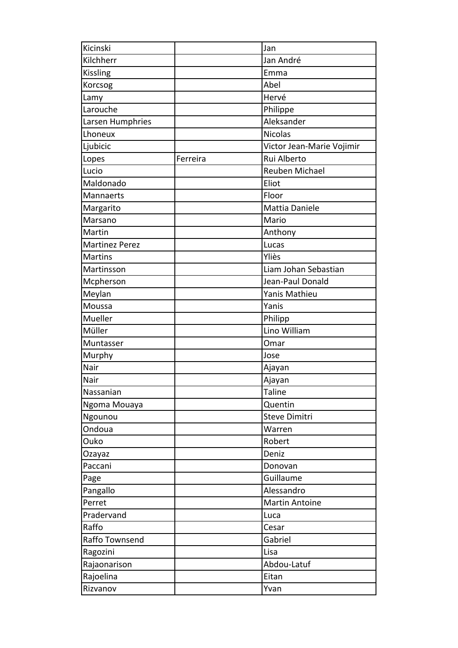| Kicinski              |          | Jan                       |
|-----------------------|----------|---------------------------|
| Kilchherr             |          | Jan André                 |
| Kissling              |          | Emma                      |
| Korcsog               |          | Abel                      |
| Lamy                  |          | Hervé                     |
| Larouche              |          | Philippe                  |
| Larsen Humphries      |          | Aleksander                |
| Lhoneux               |          | <b>Nicolas</b>            |
| Ljubicic              |          | Victor Jean-Marie Vojimir |
| Lopes                 | Ferreira | Rui Alberto               |
| Lucio                 |          | Reuben Michael            |
| Maldonado             |          | Eliot                     |
| Mannaerts             |          | Floor                     |
| Margarito             |          | Mattia Daniele            |
| Marsano               |          | Mario                     |
| Martin                |          | Anthony                   |
| <b>Martinez Perez</b> |          | Lucas                     |
| <b>Martins</b>        |          | Yliès                     |
| Martinsson            |          | Liam Johan Sebastian      |
| Mcpherson             |          | Jean-Paul Donald          |
| Meylan                |          | Yanis Mathieu             |
| Moussa                |          | Yanis                     |
| Mueller               |          | Philipp                   |
| Müller                |          | Lino William              |
| Muntasser             |          | Omar                      |
| Murphy                |          | Jose                      |
| Nair                  |          | Ajayan                    |
| Nair                  |          | Ajayan                    |
| Nassanian             |          | Taline                    |
| Ngoma Mouaya          |          | Quentin                   |
| Ngounou               |          | <b>Steve Dimitri</b>      |
| Ondoua                |          | Warren                    |
| Ouko                  |          | Robert                    |
| Ozayaz                |          | Deniz                     |
| Paccani               |          | Donovan                   |
| Page                  |          | Guillaume                 |
| Pangallo              |          | Alessandro                |
| Perret                |          | <b>Martin Antoine</b>     |
| Pradervand            |          | Luca                      |
| Raffo                 |          | Cesar                     |
| Raffo Townsend        |          | Gabriel                   |
| Ragozini              |          | Lisa                      |
| Rajaonarison          |          | Abdou-Latuf               |
| Rajoelina             |          | Eitan                     |
| Rizvanov              |          | Yvan                      |